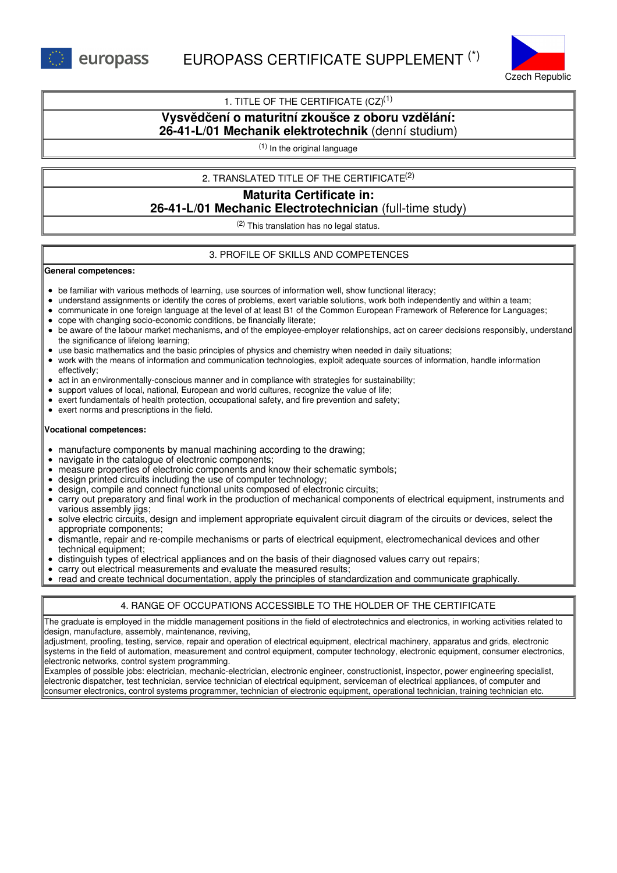europass



### 1. TITLE OF THE CERTIFICATE  $(CZ)^{(1)}$

# **Vysvědčení o maturitní zkoušce z oboru vzdělání: 26-41-L/01 Mechanik elektrotechnik** (denní studium)

(1) In the original language

### 2. TRANSLATED TITLE OF THE CERTIFICATE (2)

# **Maturita Certificate in: 26-41-L/01 Mechanic Electrotechnician** (full-time study)

(2) This translation has no legal status.

### 3. PROFILE OF SKILLS AND COMPETENCES

#### **General competences:**

- be familiar with various methods of learning, use sources of information well, show functional literacy;
- understand assignments or identify the cores of problems, exert variable solutions, work both independently and within a team;
- communicate in one foreign language at the level of at least B1 of the Common European Framework of Reference for Languages;
- cope with changing socio-economic conditions, be financially literate;
- be aware of the labour market mechanisms, and of the employee-employer relationships, act on career decisions responsibly, understand the significance of lifelong learning;
- use basic mathematics and the basic principles of physics and chemistry when needed in daily situations;
- work with the means of information and communication technologies, exploit adequate sources of information, handle information effectively;
- act in an environmentally-conscious manner and in compliance with strategies for sustainability;
- support values of local, national, European and world cultures, recognize the value of life;
- exert fundamentals of health protection, occupational safety, and fire prevention and safety;
- exert norms and prescriptions in the field.

### **Vocational competences:**

- manufacture components by manual machining according to the drawing;
- navigate in the catalogue of electronic components;
- measure properties of electronic components and know their schematic symbols;
- design printed circuits including the use of computer technology;
- design, compile and connect functional units composed of electronic circuits;
- carry out preparatory and final work in the production of mechanical components of electrical equipment, instruments and various assembly jigs;
- solve electric circuits, design and implement appropriate equivalent circuit diagram of the circuits or devices, select the appropriate components;
- dismantle, repair and re-compile mechanisms or parts of electrical equipment, electromechanical devices and other technical equipment;
- distinguish types of electrical appliances and on the basis of their diagnosed values carry out repairs;
- carry out electrical measurements and evaluate the measured results;
- read and create technical documentation, apply the principles of standardization and communicate graphically.

### 4. RANGE OF OCCUPATIONS ACCESSIBLE TO THE HOLDER OF THE CERTIFICATE

The graduate is employed in the middle management positions in the field of electrotechnics and electronics, in working activities related to design, manufacture, assembly, maintenance, reviving,

adjustment, proofing, testing, service, repair and operation of electrical equipment, electrical machinery, apparatus and grids, electronic systems in the field of automation, measurement and control equipment, computer technology, electronic equipment, consumer electronics, electronic networks, control system programming.

Examples of possible jobs: electrician, mechanic-electrician, electronic engineer, constructionist, inspector, power engineering specialist, electronic dispatcher, test technician, service technician of electrical equipment, serviceman of electrical appliances, of computer and consumer electronics, control systems programmer, technician of electronic equipment, operational technician, training technician etc.